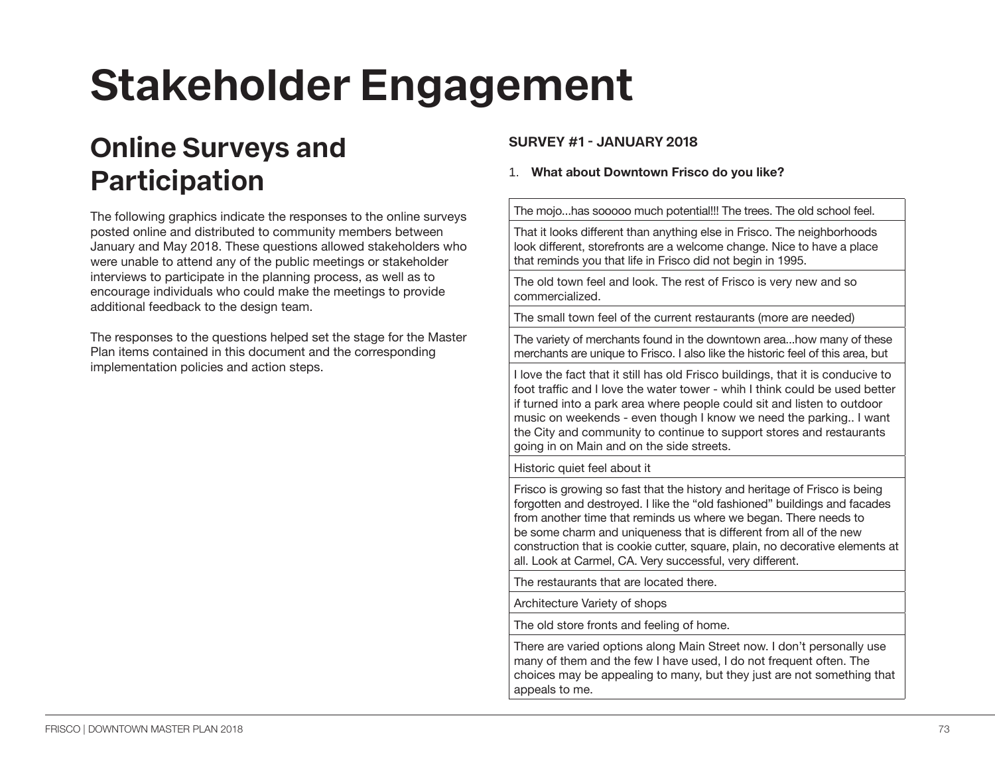# **Stakeholder Engagement**

## **Online Surveys and Participation**

The following graphics indicate the responses to the online surveys posted online and distributed to community members between January and May 2018. These questions allowed stakeholders who were unable to attend any of the public meetings or stakeholder interviews to participate in the planning process, as well as to encourage individuals who could make the meetings to provide additional feedback to the design team.

The responses to the questions helped set the stage for the Master Plan items contained in this document and the corresponding implementation policies and action steps.

#### **SURVEY #1 - JANUARY 2018**

#### 1. **What about Downtown Frisco do you like?**

The mojo...has sooooo much potential!!! The trees. The old school feel.

That it looks different than anything else in Frisco. The neighborhoods look different, storefronts are a welcome change. Nice to have a place that reminds you that life in Frisco did not begin in 1995.

The old town feel and look. The rest of Frisco is very new and so commercialized.

The small town feel of the current restaurants (more are needed)

The variety of merchants found in the downtown area...how many of these merchants are unique to Frisco. I also like the historic feel of this area, but

I love the fact that it still has old Frisco buildings, that it is conducive to foot traffic and I love the water tower - whih I think could be used better if turned into a park area where people could sit and listen to outdoor music on weekends - even though I know we need the parking.. I want the City and community to continue to support stores and restaurants going in on Main and on the side streets.

Historic quiet feel about it

Frisco is growing so fast that the history and heritage of Frisco is being forgotten and destroyed. I like the "old fashioned" buildings and facades from another time that reminds us where we began. There needs to be some charm and uniqueness that is different from all of the new construction that is cookie cutter, square, plain, no decorative elements at all. Look at Carmel, CA. Very successful, very different.

The restaurants that are located there.

Architecture Variety of shops

The old store fronts and feeling of home.

There are varied options along Main Street now. I don't personally use many of them and the few I have used, I do not frequent often. The choices may be appealing to many, but they just are not something that appeals to me.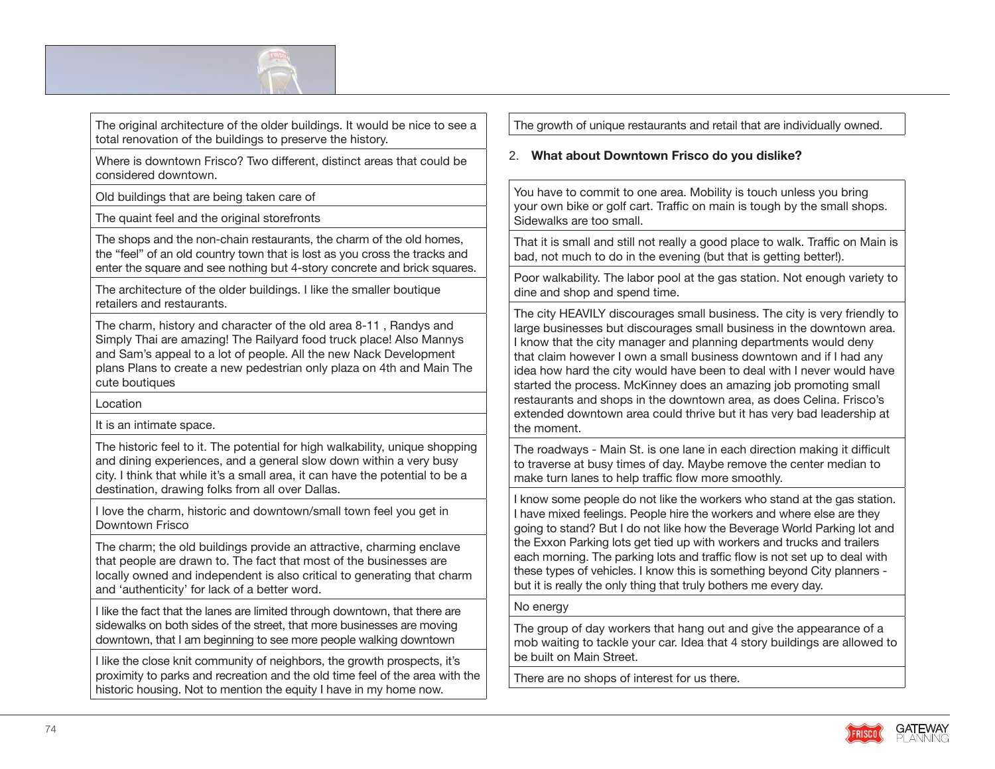

The original architecture of the older buildings. It would be nice to see a total renovation of the buildings to preserve the history.

Where is downtown Frisco? Two different, distinct areas that could be considered downtown.

Old buildings that are being taken care of

The quaint feel and the original storefronts

The shops and the non-chain restaurants, the charm of the old homes, the "feel" of an old country town that is lost as you cross the tracks and enter the square and see nothing but 4-story concrete and brick squares.

The architecture of the older buildings. I like the smaller boutique retailers and restaurants.

The charm, history and character of the old area 8-11 , Randys and Simply Thai are amazing! The Railyard food truck place! Also Mannys and Sam's appeal to a lot of people. All the new Nack Development plans Plans to create a new pedestrian only plaza on 4th and Main The cute boutiques

**Location** 

It is an intimate space.

The historic feel to it. The potential for high walkability, unique shopping and dining experiences, and a general slow down within a very busy city. I think that while it's a small area, it can have the potential to be a destination, drawing folks from all over Dallas.

I love the charm, historic and downtown/small town feel you get in Downtown Frisco

The charm; the old buildings provide an attractive, charming enclave that people are drawn to. The fact that most of the businesses are locally owned and independent is also critical to generating that charm and 'authenticity' for lack of a better word.

I like the fact that the lanes are limited through downtown, that there are sidewalks on both sides of the street, that more businesses are moving downtown, that I am beginning to see more people walking downtown

I like the close knit community of neighbors, the growth prospects, it's proximity to parks and recreation and the old time feel of the area with the historic housing. Not to mention the equity I have in my home now.

The growth of unique restaurants and retail that are individually owned.

#### 2. **What about Downtown Frisco do you dislike?**

You have to commit to one area. Mobility is touch unless you bring your own bike or golf cart. Traffic on main is tough by the small shops. Sidewalks are too small.

That it is small and still not really a good place to walk. Traffic on Main is bad, not much to do in the evening (but that is getting better!).

Poor walkability. The labor pool at the gas station. Not enough variety to dine and shop and spend time.

The city HEAVILY discourages small business. The city is very friendly to large businesses but discourages small business in the downtown area. I know that the city manager and planning departments would deny that claim however I own a small business downtown and if I had any idea how hard the city would have been to deal with I never would have started the process. McKinney does an amazing job promoting small restaurants and shops in the downtown area, as does Celina. Frisco's extended downtown area could thrive but it has very bad leadership at the moment.

The roadways - Main St. is one lane in each direction making it difficult to traverse at busy times of day. Maybe remove the center median to make turn lanes to help traffic flow more smoothly.

I know some people do not like the workers who stand at the gas station. I have mixed feelings. People hire the workers and where else are they going to stand? But I do not like how the Beverage World Parking lot and the Exxon Parking lots get tied up with workers and trucks and trailers each morning. The parking lots and traffic flow is not set up to deal with these types of vehicles. I know this is something beyond City planners but it is really the only thing that truly bothers me every day.

#### No energy

The group of day workers that hang out and give the appearance of a mob waiting to tackle your car. Idea that 4 story buildings are allowed to be built on Main Street.

There are no shops of interest for us there.

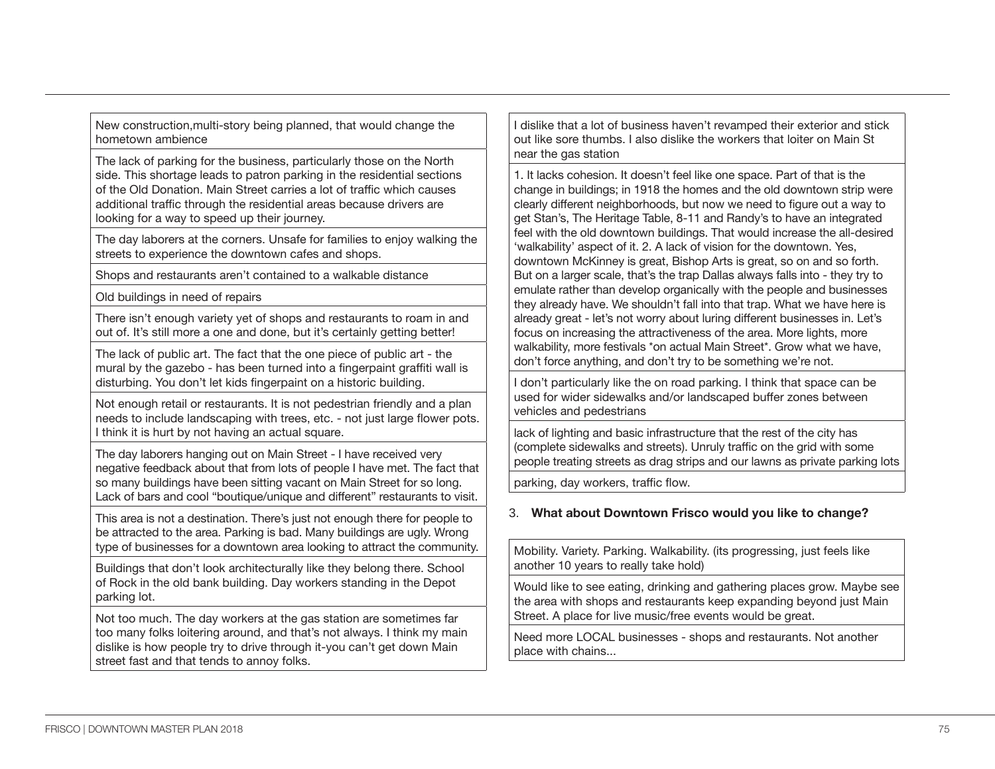New construction,multi-story being planned, that would change the hometown ambience

The lack of parking for the business, particularly those on the North side. This shortage leads to patron parking in the residential sections of the Old Donation. Main Street carries a lot of traffic which causes additional traffic through the residential areas because drivers are looking for a way to speed up their journey.

The day laborers at the corners. Unsafe for families to enjoy walking the streets to experience the downtown cafes and shops.

Shops and restaurants aren't contained to a walkable distance

Old buildings in need of repairs

There isn't enough variety yet of shops and restaurants to roam in and out of. It's still more a one and done, but it's certainly getting better!

The lack of public art. The fact that the one piece of public art - the mural by the gazebo - has been turned into a fingerpaint graffiti wall is disturbing. You don't let kids fingerpaint on a historic building.

Not enough retail or restaurants. It is not pedestrian friendly and a plan needs to include landscaping with trees, etc. - not just large flower pots. I think it is hurt by not having an actual square.

The day laborers hanging out on Main Street - I have received very negative feedback about that from lots of people I have met. The fact that so many buildings have been sitting vacant on Main Street for so long. Lack of bars and cool "boutique/unique and different" restaurants to visit.

This area is not a destination. There's just not enough there for people to be attracted to the area. Parking is bad. Many buildings are ugly. Wrong type of businesses for a downtown area looking to attract the community.

Buildings that don't look architecturally like they belong there. School of Rock in the old bank building. Day workers standing in the Depot parking lot.

Not too much. The day workers at the gas station are sometimes far too many folks loitering around, and that's not always. I think my main dislike is how people try to drive through it-you can't get down Main street fast and that tends to annoy folks.

I dislike that a lot of business haven't revamped their exterior and stick out like sore thumbs. I also dislike the workers that loiter on Main St near the gas station

1. It lacks cohesion. It doesn't feel like one space. Part of that is the change in buildings; in 1918 the homes and the old downtown strip were clearly different neighborhoods, but now we need to figure out a way to get Stan's, The Heritage Table, 8-11 and Randy's to have an integrated feel with the old downtown buildings. That would increase the all-desired 'walkability' aspect of it. 2. A lack of vision for the downtown. Yes, downtown McKinney is great, Bishop Arts is great, so on and so forth. But on a larger scale, that's the trap Dallas always falls into - they try to emulate rather than develop organically with the people and businesses they already have. We shouldn't fall into that trap. What we have here is already great - let's not worry about luring different businesses in. Let's focus on increasing the attractiveness of the area. More lights, more walkability, more festivals \*on actual Main Street\*. Grow what we have, don't force anything, and don't try to be something we're not.

I don't particularly like the on road parking. I think that space can be used for wider sidewalks and/or landscaped buffer zones between vehicles and pedestrians

lack of lighting and basic infrastructure that the rest of the city has (complete sidewalks and streets). Unruly traffic on the grid with some people treating streets as drag strips and our lawns as private parking lots

parking, day workers, traffic flow.

#### 3. **What about Downtown Frisco would you like to change?**

Mobility. Variety. Parking. Walkability. (its progressing, just feels like another 10 years to really take hold)

Would like to see eating, drinking and gathering places grow. Maybe see the area with shops and restaurants keep expanding beyond just Main Street. A place for live music/free events would be great.

Need more LOCAL businesses - shops and restaurants. Not another place with chains...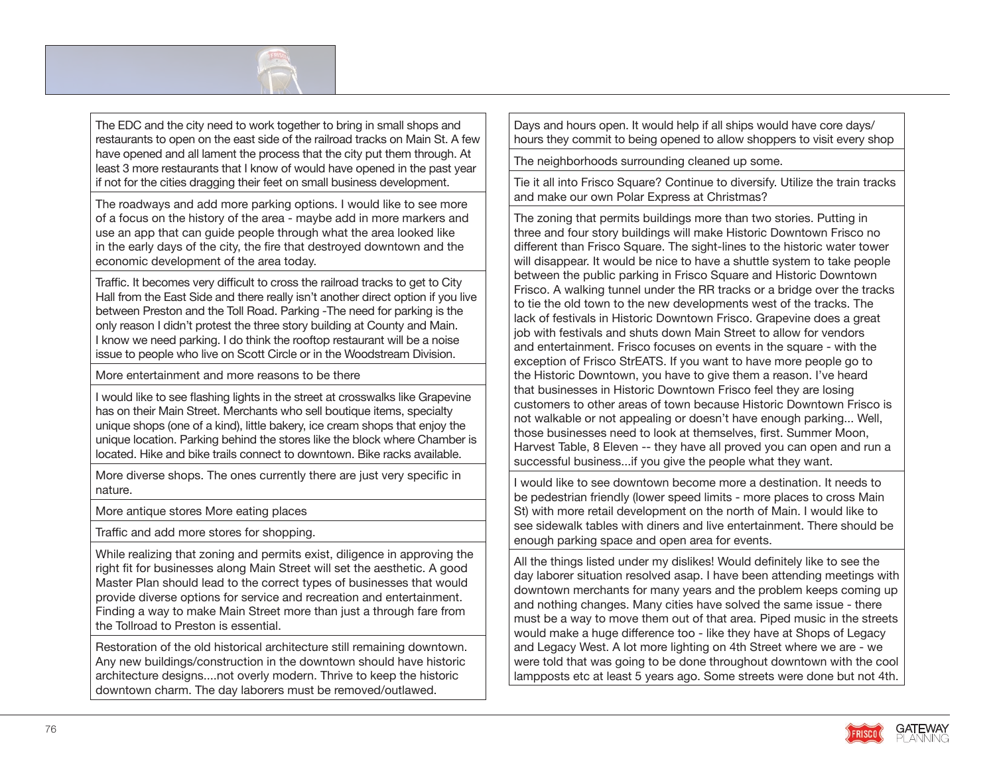

The EDC and the city need to work together to bring in small shops and restaurants to open on the east side of the railroad tracks on Main St. A few have opened and all lament the process that the city put them through. At least 3 more restaurants that I know of would have opened in the past year if not for the cities dragging their feet on small business development.

The roadways and add more parking options. I would like to see more of a focus on the history of the area - maybe add in more markers and use an app that can guide people through what the area looked like in the early days of the city, the fire that destroyed downtown and the economic development of the area today.

Traffic. It becomes very difficult to cross the railroad tracks to get to City Hall from the East Side and there really isn't another direct option if you live between Preston and the Toll Road. Parking -The need for parking is the only reason I didn't protest the three story building at County and Main. I know we need parking. I do think the rooftop restaurant will be a noise issue to people who live on Scott Circle or in the Woodstream Division.

More entertainment and more reasons to be there

I would like to see flashing lights in the street at crosswalks like Grapevine has on their Main Street. Merchants who sell boutique items, specialty unique shops (one of a kind), little bakery, ice cream shops that enjoy the unique location. Parking behind the stores like the block where Chamber is located. Hike and bike trails connect to downtown. Bike racks available.

More diverse shops. The ones currently there are just very specific in nature.

More antique stores More eating places

Traffic and add more stores for shopping.

While realizing that zoning and permits exist, diligence in approving the right fit for businesses along Main Street will set the aesthetic. A good Master Plan should lead to the correct types of businesses that would provide diverse options for service and recreation and entertainment. Finding a way to make Main Street more than just a through fare from the Tollroad to Preston is essential.

Restoration of the old historical architecture still remaining downtown. Any new buildings/construction in the downtown should have historic architecture designs....not overly modern. Thrive to keep the historic downtown charm. The day laborers must be removed/outlawed.

Days and hours open. It would help if all ships would have core days/ hours they commit to being opened to allow shoppers to visit every shop

The neighborhoods surrounding cleaned up some.

Tie it all into Frisco Square? Continue to diversify. Utilize the train tracks and make our own Polar Express at Christmas?

The zoning that permits buildings more than two stories. Putting in three and four story buildings will make Historic Downtown Frisco no different than Frisco Square. The sight-lines to the historic water tower will disappear. It would be nice to have a shuttle system to take people between the public parking in Frisco Square and Historic Downtown Frisco. A walking tunnel under the RR tracks or a bridge over the tracks to tie the old town to the new developments west of the tracks. The lack of festivals in Historic Downtown Frisco. Grapevine does a great job with festivals and shuts down Main Street to allow for vendors and entertainment. Frisco focuses on events in the square - with the exception of Frisco StrEATS. If you want to have more people go to the Historic Downtown, you have to give them a reason. I've heard that businesses in Historic Downtown Frisco feel they are losing customers to other areas of town because Historic Downtown Frisco is not walkable or not appealing or doesn't have enough parking... Well, those businesses need to look at themselves, first. Summer Moon, Harvest Table, 8 Eleven -- they have all proved you can open and run a successful business...if you give the people what they want.

I would like to see downtown become more a destination. It needs to be pedestrian friendly (lower speed limits - more places to cross Main St) with more retail development on the north of Main. I would like to see sidewalk tables with diners and live entertainment. There should be enough parking space and open area for events.

All the things listed under my dislikes! Would definitely like to see the day laborer situation resolved asap. I have been attending meetings with downtown merchants for many years and the problem keeps coming up and nothing changes. Many cities have solved the same issue - there must be a way to move them out of that area. Piped music in the streets would make a huge difference too - like they have at Shops of Legacy and Legacy West. A lot more lighting on 4th Street where we are - we were told that was going to be done throughout downtown with the cool lampposts etc at least 5 years ago. Some streets were done but not 4th.

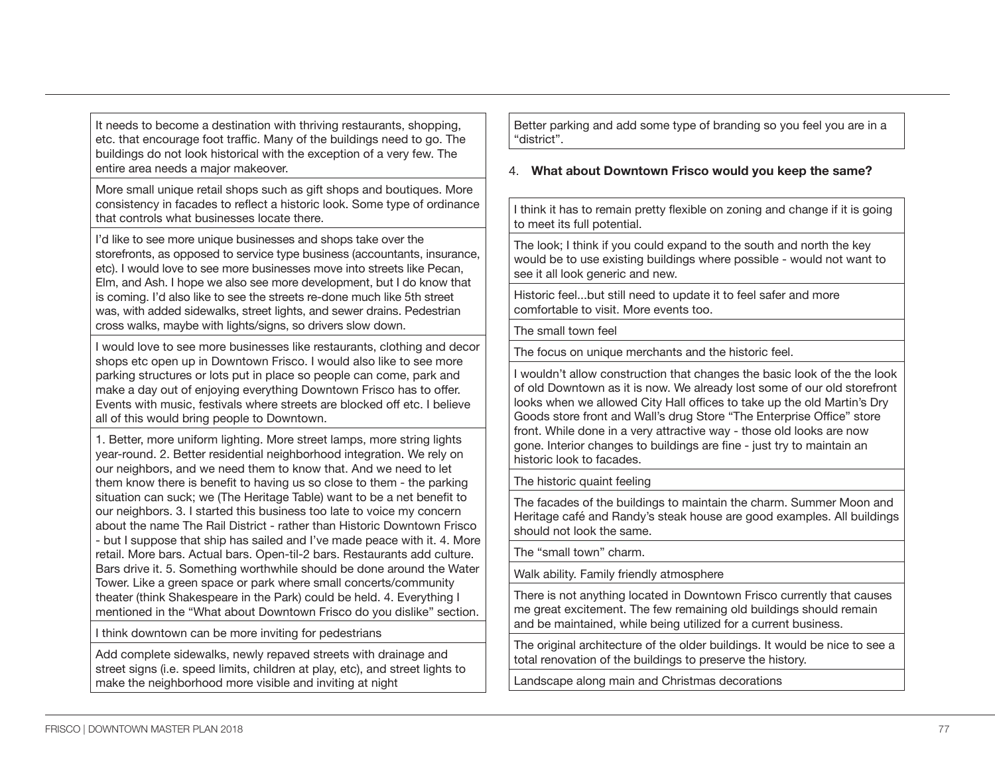It needs to become a destination with thriving restaurants, shopping, etc. that encourage foot traffic. Many of the buildings need to go. The buildings do not look historical with the exception of a very few. The entire area needs a major makeover.

More small unique retail shops such as gift shops and boutiques. More consistency in facades to reflect a historic look. Some type of ordinance that controls what businesses locate there.

I'd like to see more unique businesses and shops take over the storefronts, as opposed to service type business (accountants, insurance, etc). I would love to see more businesses move into streets like Pecan, Elm, and Ash. I hope we also see more development, but I do know that is coming. I'd also like to see the streets re-done much like 5th street was, with added sidewalks, street lights, and sewer drains. Pedestrian cross walks, maybe with lights/signs, so drivers slow down.

I would love to see more businesses like restaurants, clothing and decor shops etc open up in Downtown Frisco. I would also like to see more parking structures or lots put in place so people can come, park and make a day out of enjoying everything Downtown Frisco has to offer. Events with music, festivals where streets are blocked off etc. I believe all of this would bring people to Downtown.

1. Better, more uniform lighting. More street lamps, more string lights year-round. 2. Better residential neighborhood integration. We rely on our neighbors, and we need them to know that. And we need to let them know there is benefit to having us so close to them - the parking situation can suck; we (The Heritage Table) want to be a net benefit to our neighbors. 3. I started this business too late to voice my concern about the name The Rail District - rather than Historic Downtown Frisco - but I suppose that ship has sailed and I've made peace with it. 4. More retail. More bars. Actual bars. Open-til-2 bars. Restaurants add culture. Bars drive it. 5. Something worthwhile should be done around the Water Tower. Like a green space or park where small concerts/community theater (think Shakespeare in the Park) could be held. 4. Everything I mentioned in the "What about Downtown Frisco do you dislike" section.

I think downtown can be more inviting for pedestrians

Add complete sidewalks, newly repaved streets with drainage and street signs (i.e. speed limits, children at play, etc), and street lights to make the neighborhood more visible and inviting at night

Better parking and add some type of branding so you feel you are in a "district".

#### 4. **What about Downtown Frisco would you keep the same?**

I think it has to remain pretty flexible on zoning and change if it is going to meet its full potential.

The look; I think if you could expand to the south and north the key would be to use existing buildings where possible - would not want to see it all look generic and new.

Historic feel...but still need to update it to feel safer and more comfortable to visit. More events too.

The small town feel

The focus on unique merchants and the historic feel.

I wouldn't allow construction that changes the basic look of the the look of old Downtown as it is now. We already lost some of our old storefront looks when we allowed City Hall offices to take up the old Martin's Dry Goods store front and Wall's drug Store "The Enterprise Office" store front. While done in a very attractive way - those old looks are now gone. Interior changes to buildings are fine - just try to maintain an historic look to facades.

The historic quaint feeling

The facades of the buildings to maintain the charm. Summer Moon and Heritage café and Randy's steak house are good examples. All buildings should not look the same.

The "small town" charm.

Walk ability. Family friendly atmosphere

There is not anything located in Downtown Frisco currently that causes me great excitement. The few remaining old buildings should remain and be maintained, while being utilized for a current business.

The original architecture of the older buildings. It would be nice to see a total renovation of the buildings to preserve the history.

Landscape along main and Christmas decorations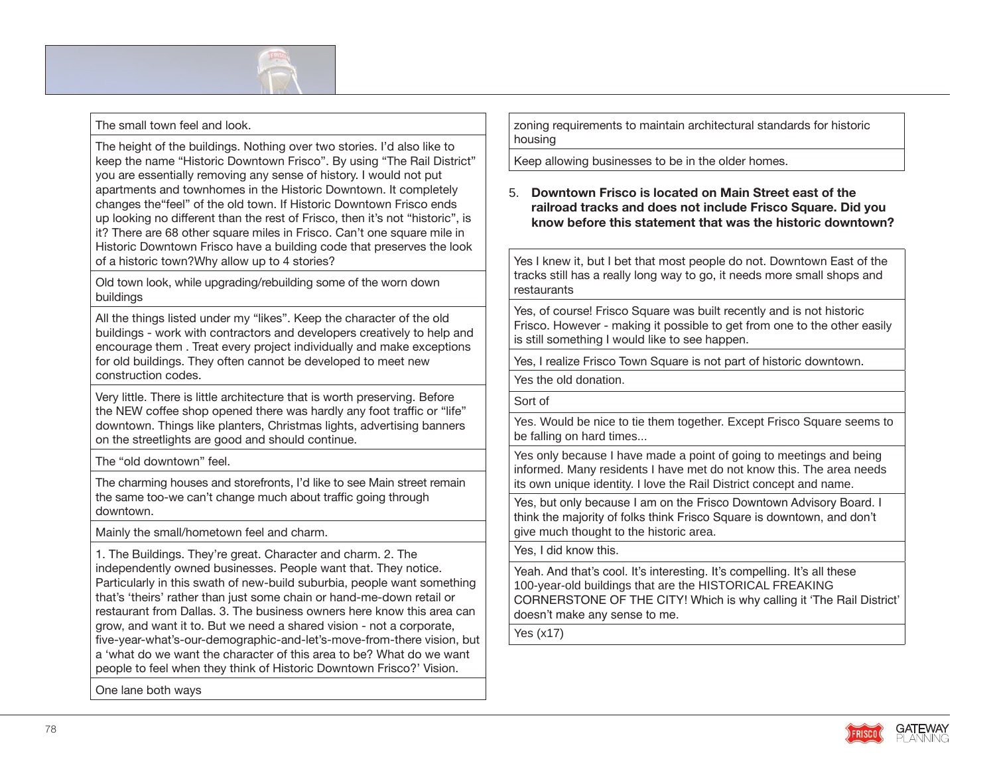

#### The small town feel and look.

The height of the buildings. Nothing over two stories. I'd also like to keep the name "Historic Downtown Frisco". By using "The Rail District" you are essentially removing any sense of history. I would not put apartments and townhomes in the Historic Downtown. It completely changes the"feel" of the old town. If Historic Downtown Frisco ends up looking no different than the rest of Frisco, then it's not "historic", is it? There are 68 other square miles in Frisco. Can't one square mile in Historic Downtown Frisco have a building code that preserves the look of a historic town?Why allow up to 4 stories?

Old town look, while upgrading/rebuilding some of the worn down buildings

All the things listed under my "likes". Keep the character of the old buildings - work with contractors and developers creatively to help and encourage them . Treat every project individually and make exceptions for old buildings. They often cannot be developed to meet new construction codes.

Very little. There is little architecture that is worth preserving. Before the NEW coffee shop opened there was hardly any foot traffic or "life" downtown. Things like planters, Christmas lights, advertising banners on the streetlights are good and should continue.

The "old downtown" feel.

The charming houses and storefronts, I'd like to see Main street remain the same too-we can't change much about traffic going through downtown.

Mainly the small/hometown feel and charm.

1. The Buildings. They're great. Character and charm. 2. The independently owned businesses. People want that. They notice. Particularly in this swath of new-build suburbia, people want something that's 'theirs' rather than just some chain or hand-me-down retail or restaurant from Dallas. 3. The business owners here know this area can grow, and want it to. But we need a shared vision - not a corporate, five-year-what's-our-demographic-and-let's-move-from-there vision, but a 'what do we want the character of this area to be? What do we want people to feel when they think of Historic Downtown Frisco?' Vision.

One lane both ways

zoning requirements to maintain architectural standards for historic housing

Keep allowing businesses to be in the older homes.

#### 5. **Downtown Frisco is located on Main Street east of the railroad tracks and does not include Frisco Square. Did you know before this statement that was the historic downtown?**

Yes I knew it, but I bet that most people do not. Downtown East of the tracks still has a really long way to go, it needs more small shops and restaurants

Yes, of course! Frisco Square was built recently and is not historic Frisco. However - making it possible to get from one to the other easily is still something I would like to see happen.

Yes, I realize Frisco Town Square is not part of historic downtown.

Yes the old donation.

Sort of

Yes. Would be nice to tie them together. Except Frisco Square seems to be falling on hard times...

Yes only because I have made a point of going to meetings and being informed. Many residents I have met do not know this. The area needs its own unique identity. I love the Rail District concept and name.

Yes, but only because I am on the Frisco Downtown Advisory Board. I think the majority of folks think Frisco Square is downtown, and don't give much thought to the historic area.

Yes, I did know this.

Yeah. And that's cool. It's interesting. It's compelling. It's all these 100-year-old buildings that are the HISTORICAL FREAKING CORNERSTONE OF THE CITY! Which is why calling it 'The Rail District' doesn't make any sense to me.

Yes (x17)

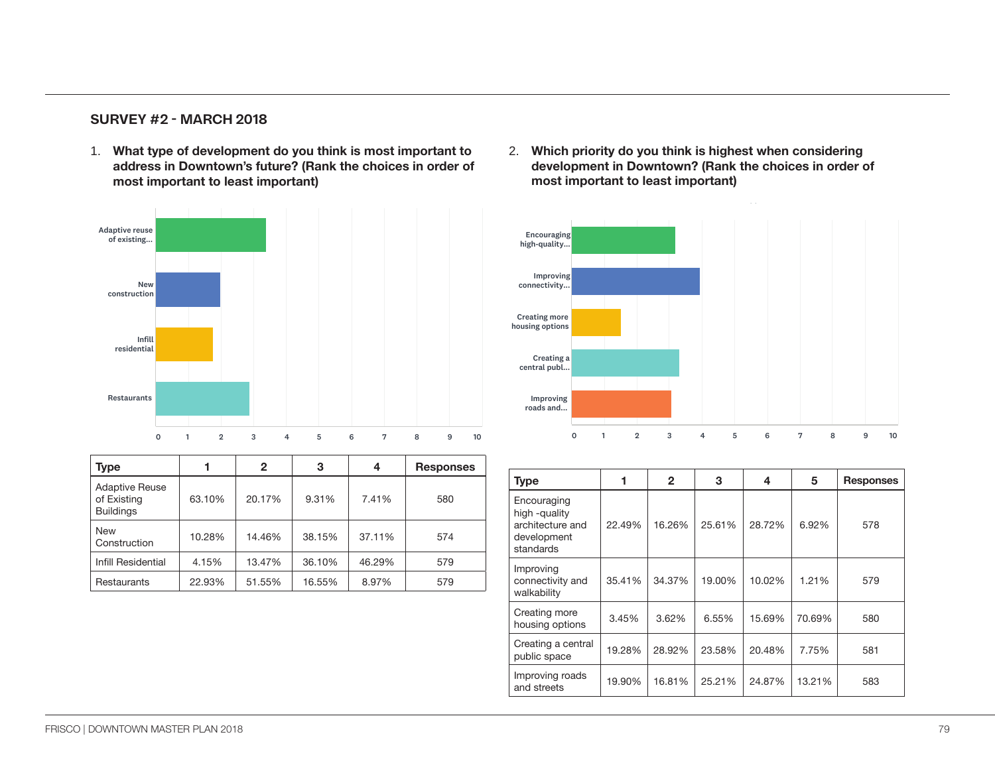### **SURVEY #2 - MARCH 2018**

1. What type of development do you think is most important to **2.** Which address in Downtown's future? (Rank the choices in order of most important to least important)



| <b>Type</b>                                              |        | $\mathbf{2}$ | 3      | 4      | <b>Responses</b> |                                      |
|----------------------------------------------------------|--------|--------------|--------|--------|------------------|--------------------------------------|
| <b>Adaptive Reuse</b><br>of Existing<br><b>Buildings</b> | 63.10% | 20.17%       | 9.31%  | 7.41%  | 580              | <b>Type</b><br>Encourag<br>high -qua |
| <b>New</b><br>Construction                               | 10.28% | 14.46%       | 38.15% | 37.11% | 574              | architectu<br>developm<br>standards  |
| Infill Residential                                       | 4.15%  | 13.47%       | 36.10% | 46.29% | 579              | Improving                            |
| Restaurants                                              | 22.93% | 51.55%       | 16.55% | 8.97%  | 579              | connectiv<br>                        |

2. **Which priority do you think is highest when considering development in Downtown? (Rank the choices in order of most important to least important)** important to least important.) downtown? (Drag and drop the choices to rank them in order of most

Five About Downtown Frisco SurveyMonkey Monkey Monkey Monkey Monkey Monkey Monkey Monkey Monkey Monkey Monkey



| ponses |                                              |        |              |        |        |        |                  |
|--------|----------------------------------------------|--------|--------------|--------|--------|--------|------------------|
|        | <b>Type</b>                                  |        | $\mathbf{2}$ | 3      | 4      | 5      | <b>Responses</b> |
| 580    | Encouraging<br>high -quality                 |        |              |        |        |        |                  |
| 574    | architecture and<br>development<br>standards | 22.49% | 16.26%       | 25.61% | 28.72% | 6.92%  | 578              |
| 579    | Improving                                    |        |              |        |        |        |                  |
| 579    | connectivity and<br>walkability              | 35.41% | 34.37%       | 19.00% | 10.02% | 1.21%  | 579              |
|        | Creating more<br>housing options             | 3.45%  | 3.62%        | 6.55%  | 15.69% | 70.69% | 580              |
|        | Creating a central<br>public space           | 19.28% | 28.92%       | 23.58% | 20.48% | 7.75%  | 581              |
|        | Improving roads<br>and streets               | 19.90% | 16.81%       | 25.21% | 24.87% | 13.21% | 583              |
|        |                                              |        |              |        |        |        |                  |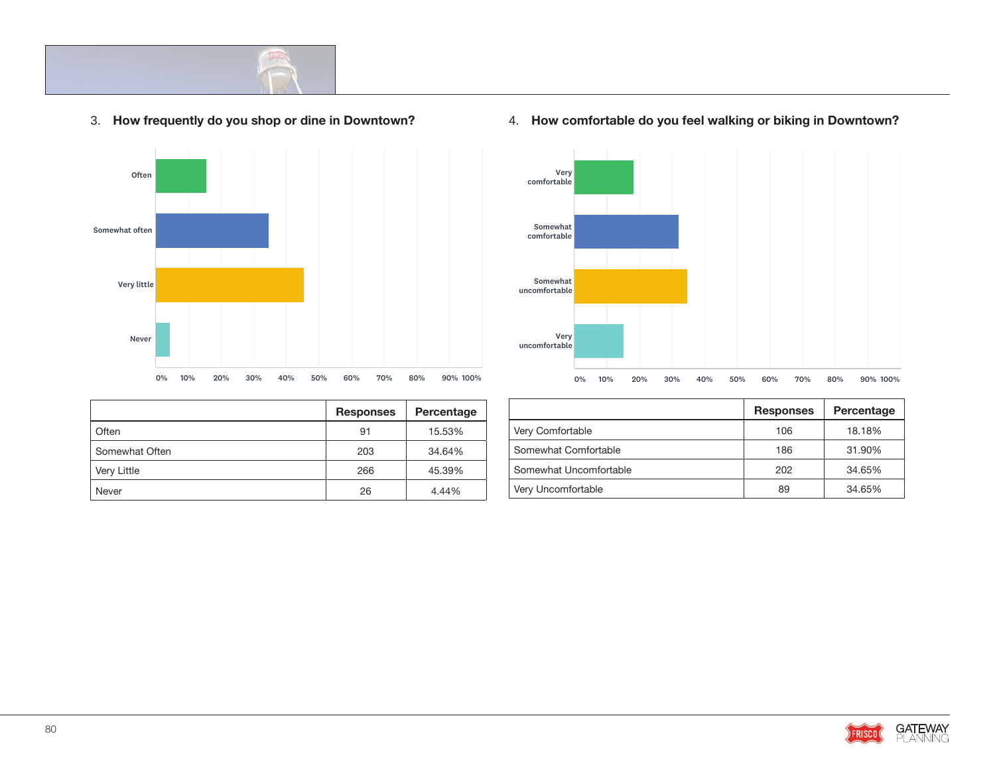

#### 3. **How frequently do you shop or dine in Downtown?**  Answered: 586 Skipped: 1



|                | <b>Responses</b> | Percentage |               |
|----------------|------------------|------------|---------------|
| Often          | 91               | 15.53%     | Very Comfort: |
| Somewhat Often | 203              | 34.64%     | Somewhat Co   |
| Very Little    | 266              | 45.39%     | Somewhat Ur   |
| Never          | 26               | 4.44%      | Very Uncomfo  |

### Very comfortable Somewhat comfortable Somewhat uncomfortable Very uncomfortable 0% 10% 20% 30% 40% 50% 60% 70% 80% 90% 100%

| ntage |                        | <b>Responses</b> | Percentage |
|-------|------------------------|------------------|------------|
| 3%    | Very Comfortable       | 106              | 18.18%     |
| 4%    | Somewhat Comfortable   | 186              | 31.90%     |
| 9%    | Somewhat Uncomfortable | 202              | 34.65%     |
| 1%    | Very Uncomfortable     | 89               | 34.65%     |

#### 4. **How comfortable do you feel walking or biking in Downtown?**   $\sim$   $\sim$   $\sim$   $\sim$   $\sim$   $\sim$

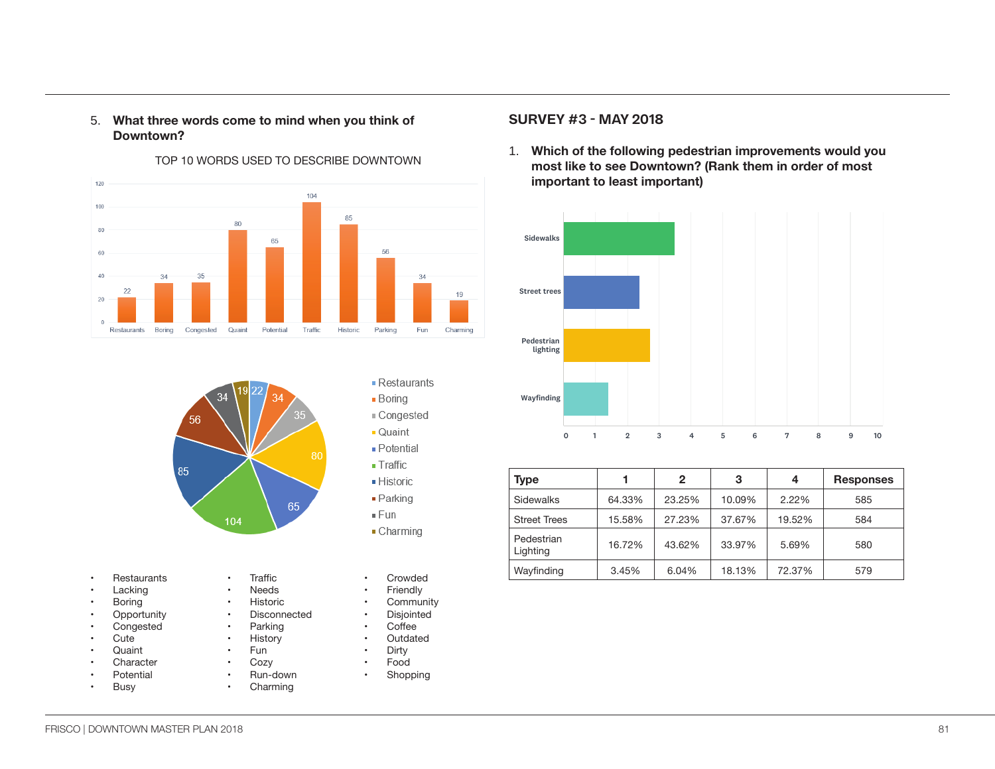#### 5. **What three words come to mind when you think of Downtown?**



TOP 10 WORDS USED TO DESCRIBE DOWNTOWN

# 56 85 65 104

- Restaurants
- Lacking
- **Boring**
- **Opportunity**
- **Congested**
- Cute
- Quaint
- **Character Potential**
- 
- **Busy**

| Needs        |
|--------------|
| Historic     |
| Disconnected |
| Parking      |

• Traffic

- **History**
- Fun
- **Cozy**
- Run-down **Charming**
- Crowded **Friendly**
- **Community**

- Restaurants  $\blacksquare$  Boring Congested

Quaint - Potential  $\blacksquare$  Traffic

 $\blacksquare$  Historic  $\blacksquare$  Parking

 $\blacksquare$  Charming

 $= Fun$ 

- Disjointed
- Coffee
- 
- Outdated<br>• Dirty • Dirty
- Food
- **Shopping**

#### **SURVEY #3 - MAY 2018**

1. Which of the following pedestrian improvements would you most like to see Downtown? (Rank them in order of most **important to least important)**

Five Questions About Downtown Frisco SurveyMonkey



| Type                   |        | $\mathbf{2}$ | 3      | 4      | <b>Responses</b> |
|------------------------|--------|--------------|--------|--------|------------------|
| Sidewalks              | 64.33% | 23.25%       | 10.09% | 2.22%  | 585              |
| <b>Street Trees</b>    | 15.58% | 27.23%       | 37.67% | 19.52% | 584              |
| Pedestrian<br>Lighting | 16.72% | 43.62%       | 33.97% | 5.69%  | 580              |
| Wayfinding             | 3.45%  | 6.04%        | 18.13% | 72.37% | 579              |

FRISCO | DOWNTOWN MASTER PLAN 2018 81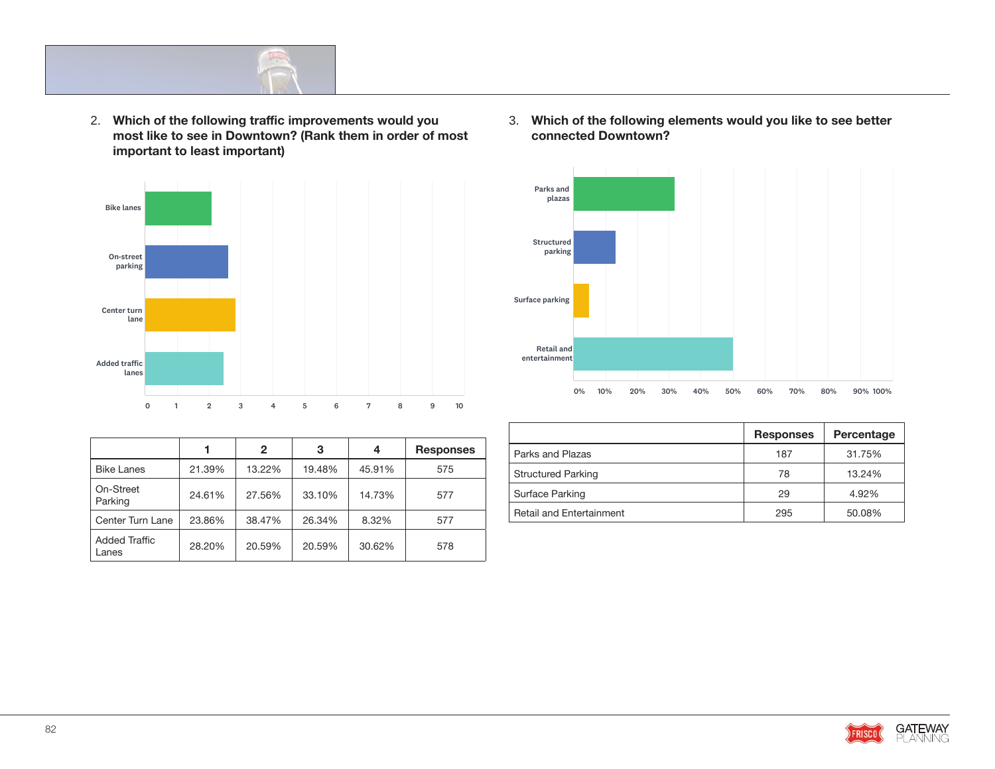

2. Which of the following traffic improvements would you **and in the choice of and 1** and 1 and 1 and 1 and 1 and 1 and 1 and 1 and 1 and 1 and 1 and 1 and 1 and 1 and 1 and 1 and 1 and 1 and 1 and 1 and 1 and 1 and 1 and most like to see in Downtown? (Rank them in order of most **important to least important)** Answered: 584 Skipped: 9



|                               |        | $\mathbf{2}$ | 3      | 4      | <b>Responses</b> |
|-------------------------------|--------|--------------|--------|--------|------------------|
| <b>Bike Lanes</b>             | 21.39% | 13.22%       | 19.48% | 45.91% | 575              |
| On-Street<br>Parking          | 24.61% | 27.56%       | 33.10% | 14.73% | 577              |
| Center Turn Lane              | 23.86% | 38.47%       | 26.34% | 8.32%  | 577              |
| <b>Added Traffic</b><br>Lanes | 28.20% | 20.59%       | 20.59% | 30.62% | 578              |

3. Which of the following elements would you like to see better **connected Downtown?**



|      |                                 | <b>Responses</b> | Percentage |
|------|---------------------------------|------------------|------------|
| nses | Parks and Plazas                | 187              | 31.75%     |
|      | <b>Structured Parking</b>       | 78               | 13.24%     |
|      | Surface Parking                 | 29               | 4.92%      |
|      | <b>Retail and Entertainment</b> | 295              | 50.08%     |